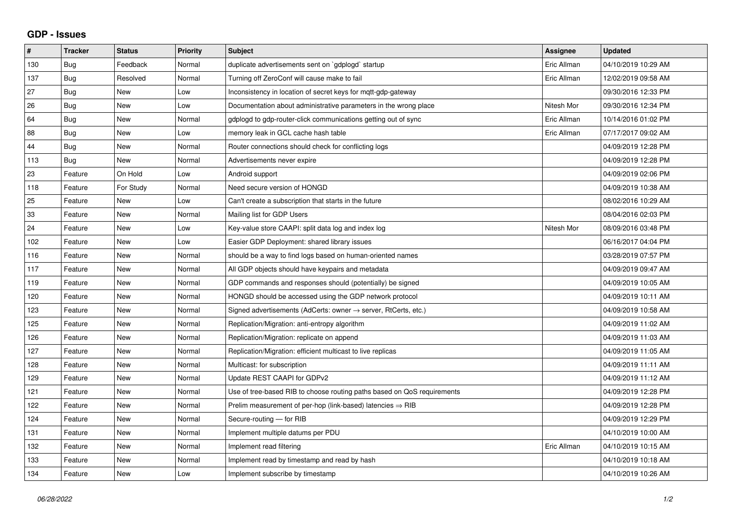## **GDP - Issues**

| $\vert$ # | <b>Tracker</b> | <b>Status</b> | <b>Priority</b> | <b>Subject</b>                                                          | <b>Assignee</b> | <b>Updated</b>      |
|-----------|----------------|---------------|-----------------|-------------------------------------------------------------------------|-----------------|---------------------|
| 130       | Bug            | Feedback      | Normal          | duplicate advertisements sent on `gdplogd` startup                      | Eric Allman     | 04/10/2019 10:29 AM |
| 137       | <b>Bug</b>     | Resolved      | Normal          | Turning off ZeroConf will cause make to fail                            | Eric Allman     | 12/02/2019 09:58 AM |
| 27        | <b>Bug</b>     | <b>New</b>    | Low             | Inconsistency in location of secret keys for mqtt-gdp-gateway           |                 | 09/30/2016 12:33 PM |
| 26        | Bug            | <b>New</b>    | Low             | Documentation about administrative parameters in the wrong place        | Nitesh Mor      | 09/30/2016 12:34 PM |
| 64        | Bug            | <b>New</b>    | Normal          | gdplogd to gdp-router-click communications getting out of sync          | Eric Allman     | 10/14/2016 01:02 PM |
| 88        | <b>Bug</b>     | New           | Low             | memory leak in GCL cache hash table                                     | Eric Allman     | 07/17/2017 09:02 AM |
| 44        | Bug            | <b>New</b>    | Normal          | Router connections should check for conflicting logs                    |                 | 04/09/2019 12:28 PM |
| 113       | <b>Bug</b>     | <b>New</b>    | Normal          | Advertisements never expire                                             |                 | 04/09/2019 12:28 PM |
| 23        | Feature        | On Hold       | Low             | Android support                                                         |                 | 04/09/2019 02:06 PM |
| 118       | Feature        | For Study     | Normal          | Need secure version of HONGD                                            |                 | 04/09/2019 10:38 AM |
| 25        | Feature        | <b>New</b>    | Low             | Can't create a subscription that starts in the future                   |                 | 08/02/2016 10:29 AM |
| 33        | Feature        | New           | Normal          | Mailing list for GDP Users                                              |                 | 08/04/2016 02:03 PM |
| 24        | Feature        | <b>New</b>    | Low             | Key-value store CAAPI: split data log and index log                     | Nitesh Mor      | 08/09/2016 03:48 PM |
| 102       | Feature        | <b>New</b>    | Low             | Easier GDP Deployment: shared library issues                            |                 | 06/16/2017 04:04 PM |
| 116       | Feature        | <b>New</b>    | Normal          | should be a way to find logs based on human-oriented names              |                 | 03/28/2019 07:57 PM |
| 117       | Feature        | <b>New</b>    | Normal          | All GDP objects should have keypairs and metadata                       |                 | 04/09/2019 09:47 AM |
| 119       | Feature        | <b>New</b>    | Normal          | GDP commands and responses should (potentially) be signed               |                 | 04/09/2019 10:05 AM |
| 120       | Feature        | <b>New</b>    | Normal          | HONGD should be accessed using the GDP network protocol                 |                 | 04/09/2019 10:11 AM |
| 123       | Feature        | <b>New</b>    | Normal          | Signed advertisements (AdCerts: owner → server, RtCerts, etc.)          |                 | 04/09/2019 10:58 AM |
| 125       | Feature        | <b>New</b>    | Normal          | Replication/Migration: anti-entropy algorithm                           |                 | 04/09/2019 11:02 AM |
| 126       | Feature        | <b>New</b>    | Normal          | Replication/Migration: replicate on append                              |                 | 04/09/2019 11:03 AM |
| 127       | Feature        | <b>New</b>    | Normal          | Replication/Migration: efficient multicast to live replicas             |                 | 04/09/2019 11:05 AM |
| 128       | Feature        | <b>New</b>    | Normal          | Multicast: for subscription                                             |                 | 04/09/2019 11:11 AM |
| 129       | Feature        | <b>New</b>    | Normal          | Update REST CAAPI for GDPv2                                             |                 | 04/09/2019 11:12 AM |
| 121       | Feature        | <b>New</b>    | Normal          | Use of tree-based RIB to choose routing paths based on QoS requirements |                 | 04/09/2019 12:28 PM |
| 122       | Feature        | <b>New</b>    | Normal          | Prelim measurement of per-hop (link-based) latencies $\Rightarrow$ RIB  |                 | 04/09/2019 12:28 PM |
| 124       | Feature        | <b>New</b>    | Normal          | Secure-routing - for RIB                                                |                 | 04/09/2019 12:29 PM |
| 131       | Feature        | New           | Normal          | Implement multiple datums per PDU                                       |                 | 04/10/2019 10:00 AM |
| 132       | Feature        | <b>New</b>    | Normal          | Implement read filtering                                                | Eric Allman     | 04/10/2019 10:15 AM |
| 133       | Feature        | <b>New</b>    | Normal          | Implement read by timestamp and read by hash                            |                 | 04/10/2019 10:18 AM |
| 134       | Feature        | New           | Low             | Implement subscribe by timestamp                                        |                 | 04/10/2019 10:26 AM |